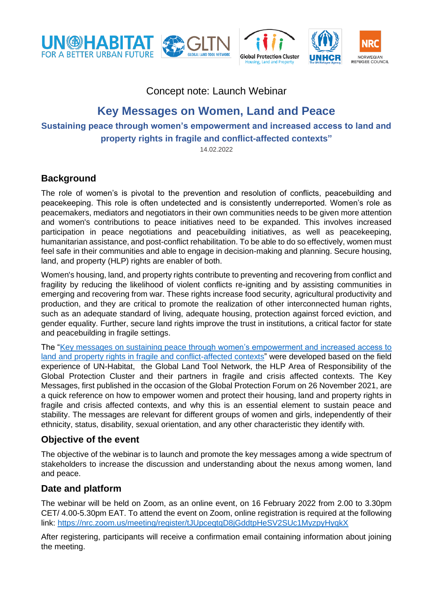









Concept note: Launch Webinar

# **Key Messages on Women, Land and Peace**

**Sustaining peace through women's empowerment and increased access to land and** 

**property rights in fragile and conflict-affected contexts"**

14.02.2022

## **Background**

The role of women's is pivotal to the prevention and resolution of conflicts, peacebuilding and peacekeeping. This role is often undetected and is consistently underreported. Women's role as peacemakers, mediators and negotiators in their own communities needs to be given more attention and women's contributions to peace initiatives need to be expanded. This involves increased participation in peace negotiations and peacebuilding initiatives, as well as peacekeeping, humanitarian assistance, and post-conflict rehabilitation. To be able to do so effectively, women must feel safe in their communities and able to engage in decision-making and planning. Secure housing, land, and property (HLP) rights are enabler of both.

Women's housing, land, and property rights contribute to preventing and recovering from conflict and fragility by reducing the likelihood of violent conflicts re-igniting and by assisting communities in emerging and recovering from war. These rights increase food security, agricultural productivity and production, and they are critical to promote the realization of other interconnected human rights, such as an adequate standard of living, adequate housing, protection against forced eviction, and gender equality. Further, secure land rights improve the trust in institutions, a critical factor for state and peacebuilding in fragile settings.

The ["Key messages on sustaining peace through women's empowerment and increased access to](https://www.globalprotectioncluster.org/2021/10/25/just-launched-key-messages-on-women-land-and-peace/)  [land and property rights in fragile and conflict-affected contexts"](https://www.globalprotectioncluster.org/2021/10/25/just-launched-key-messages-on-women-land-and-peace/) were developed based on the field experience of UN-Habitat, the Global Land Tool Network, the HLP Area of Responsibility of the Global Protection Cluster and their partners in fragile and crisis affected contexts. The Key Messages, first published in the occasion of the Global Protection Forum on 26 November 2021, are a quick reference on how to empower women and protect their housing, land and property rights in fragile and crisis affected contexts, and why this is an essential element to sustain peace and stability. The messages are relevant for different groups of women and girls, independently of their ethnicity, status, disability, sexual orientation, and any other characteristic they identify with.

## **Objective of the event**

The objective of the webinar is to launch and promote the key messages among a wide spectrum of stakeholders to increase the discussion and understanding about the nexus among women, land and peace.

## **Date and platform**

The webinar will be held on Zoom, as an online event, on 16 February 2022 from 2.00 to 3.30pm CET/ 4.00-5.30pm EAT. To attend the event on Zoom, online registration is required at the following link:<https://nrc.zoom.us/meeting/register/tJUpceqtqD8jGddtpHeSV2SUc1MyzpyHyqkX>

After registering, participants will receive a confirmation email containing information about joining the meeting.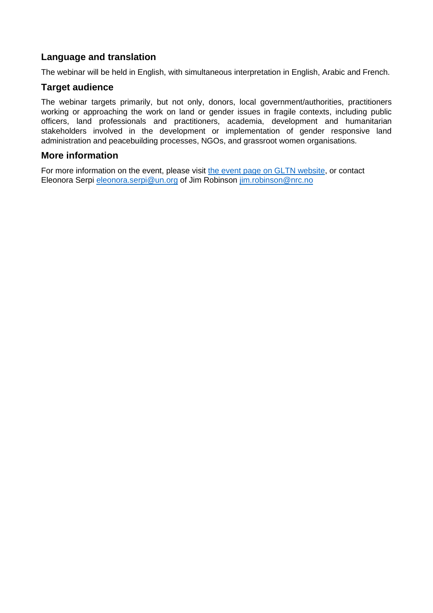### **Language and translation**

The webinar will be held in English, with simultaneous interpretation in English, Arabic and French.

#### **Target audience**

The webinar targets primarily, but not only, donors, local government/authorities, practitioners working or approaching the work on land or gender issues in fragile contexts, including public officers, land professionals and practitioners, academia, development and humanitarian stakeholders involved in the development or implementation of gender responsive land administration and peacebuilding processes, NGOs, and grassroot women organisations.

#### **More information**

For more information on the event, please visit [the event page on GLTN website,](https://gltn.net/2022/01/28/launch-of-the-key-messages-on-women-land-and-peace/) or contact Eleonora Serpi [eleonora.serpi@un.org](mailto:eleonora.serpi@un.org) of Jim Robinson [jim.robinson@nrc.no](mailto:jim.robinson@nrc.no)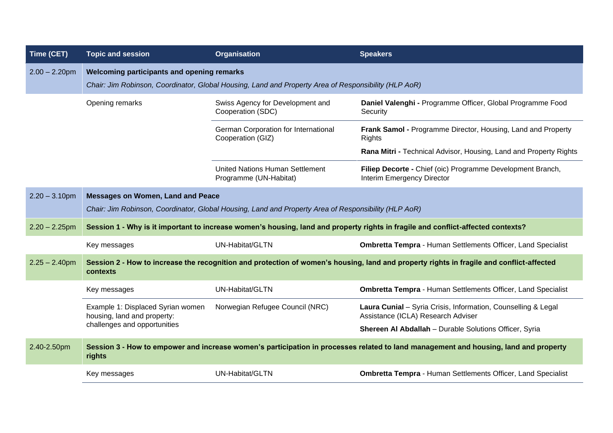| Time (CET)       | <b>Topic and session</b>                                                                                                                             | <b>Organisation</b>                                              | <b>Speakers</b>                                                                                     |  |
|------------------|------------------------------------------------------------------------------------------------------------------------------------------------------|------------------------------------------------------------------|-----------------------------------------------------------------------------------------------------|--|
| $2.00 - 2.20$ pm | Welcoming participants and opening remarks<br>Chair: Jim Robinson, Coordinator, Global Housing, Land and Property Area of Responsibility (HLP AoR)   |                                                                  |                                                                                                     |  |
|                  | Opening remarks                                                                                                                                      | Swiss Agency for Development and<br>Cooperation (SDC)            | Daniel Valenghi - Programme Officer, Global Programme Food<br>Security                              |  |
|                  |                                                                                                                                                      | German Corporation for International<br>Cooperation (GIZ)        | Frank Samol - Programme Director, Housing, Land and Property<br><b>Rights</b>                       |  |
|                  |                                                                                                                                                      |                                                                  | Rana Mitri - Technical Advisor, Housing, Land and Property Rights                                   |  |
|                  |                                                                                                                                                      | <b>United Nations Human Settlement</b><br>Programme (UN-Habitat) | Filiep Decorte - Chief (oic) Programme Development Branch,<br>Interim Emergency Director            |  |
| $2.20 - 3.10$ pm | <b>Messages on Women, Land and Peace</b><br>Chair: Jim Robinson, Coordinator, Global Housing, Land and Property Area of Responsibility (HLP AoR)     |                                                                  |                                                                                                     |  |
| $2.20 - 2.25$ pm | Session 1 - Why is it important to increase women's housing, land and property rights in fragile and conflict-affected contexts?                     |                                                                  |                                                                                                     |  |
|                  | Key messages                                                                                                                                         | UN-Habitat/GLTN                                                  | <b>Ombretta Tempra - Human Settlements Officer, Land Specialist</b>                                 |  |
| $2.25 - 2.40$ pm | Session 2 - How to increase the recognition and protection of women's housing, land and property rights in fragile and conflict-affected<br>contexts |                                                                  |                                                                                                     |  |
|                  | Key messages                                                                                                                                         | <b>UN-Habitat/GLTN</b>                                           | <b>Ombretta Tempra - Human Settlements Officer, Land Specialist</b>                                 |  |
|                  | Example 1: Displaced Syrian women<br>housing, land and property:                                                                                     | Norwegian Refugee Council (NRC)                                  | Laura Cunial - Syria Crisis, Information, Counselling & Legal<br>Assistance (ICLA) Research Adviser |  |
|                  | challenges and opportunities                                                                                                                         |                                                                  | Shereen Al Abdallah - Durable Solutions Officer, Syria                                              |  |
| 2.40-2.50pm      | Session 3 - How to empower and increase women's participation in processes related to land management and housing, land and property<br>rights       |                                                                  |                                                                                                     |  |
|                  | Key messages                                                                                                                                         | UN-Habitat/GLTN                                                  | <b>Ombretta Tempra - Human Settlements Officer, Land Specialist</b>                                 |  |